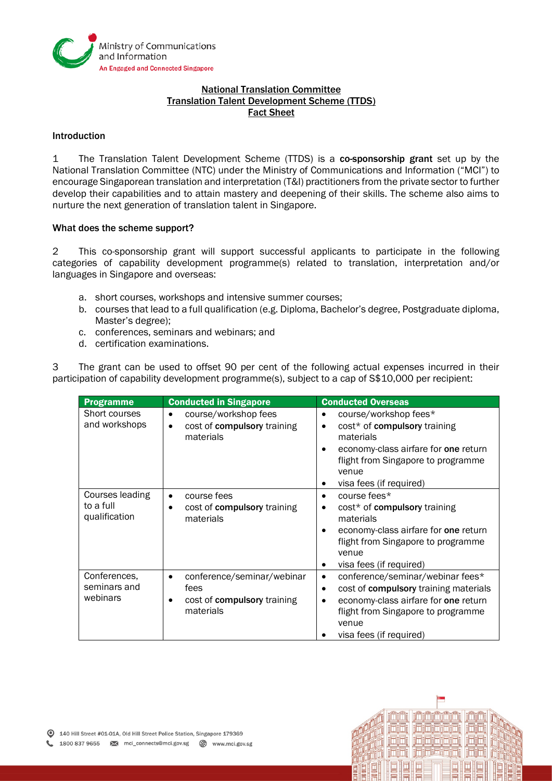

## National Translation Committee Translation Talent Development Scheme (TTDS) Fact Sheet

## Introduction

1 The Translation Talent Development Scheme (TTDS) is a co-sponsorship grant set up by the National Translation Committee (NTC) under the Ministry of Communications and Information ("MCI") to encourage Singaporean translation and interpretation (T&I) practitioners from the private sector to further develop their capabilities and to attain mastery and deepening of their skills. The scheme also aims to nurture the next generation of translation talent in Singapore.

## What does the scheme support?

2 This co-sponsorship grant will support successful applicants to participate in the following categories of capability development programme(s) related to translation, interpretation and/or languages in Singapore and overseas:

- a. short courses, workshops and intensive summer courses;
- b. courses that lead to a full qualification (e.g. Diploma, Bachelor's degree, Postgraduate diploma, Master's degree);
- c. conferences, seminars and webinars; and
- d. certification examinations.

3 The grant can be used to offset 90 per cent of the following actual expenses incurred in their participation of capability development programme(s), subject to a cap of S\$10,000 per recipient:

| <b>Programme</b>                              | <b>Conducted in Singapore</b>                                                               | <b>Conducted Overseas</b>                                                                                                                                                                                                  |
|-----------------------------------------------|---------------------------------------------------------------------------------------------|----------------------------------------------------------------------------------------------------------------------------------------------------------------------------------------------------------------------------|
| Short courses<br>and workshops                | course/workshop fees<br>$\bullet$<br>cost of compulsory training<br>$\bullet$<br>materials  | course/workshop fees*<br>٠<br>cost* of compulsory training<br>$\bullet$<br>materials<br>economy-class airfare for one return<br>$\bullet$<br>flight from Singapore to programme<br>venue<br>visa fees (if required)        |
| Courses leading<br>to a full<br>qualification | course fees<br>$\bullet$<br>cost of compulsory training<br>٠<br>materials                   | course fees*<br>$\bullet$<br>cost* of compulsory training<br>٠<br>materials<br>economy-class airfare for one return<br>$\bullet$<br>flight from Singapore to programme<br>venue<br>visa fees (if required)<br>$\bullet$    |
| Conferences,<br>seminars and<br>webinars      | conference/seminar/webinar<br>$\bullet$<br>fees<br>cost of compulsory training<br>materials | conference/seminar/webinar fees*<br>٠<br>cost of compulsory training materials<br>$\bullet$<br>economy-class airfare for one return<br>$\bullet$<br>flight from Singapore to programme<br>venue<br>visa fees (if required) |



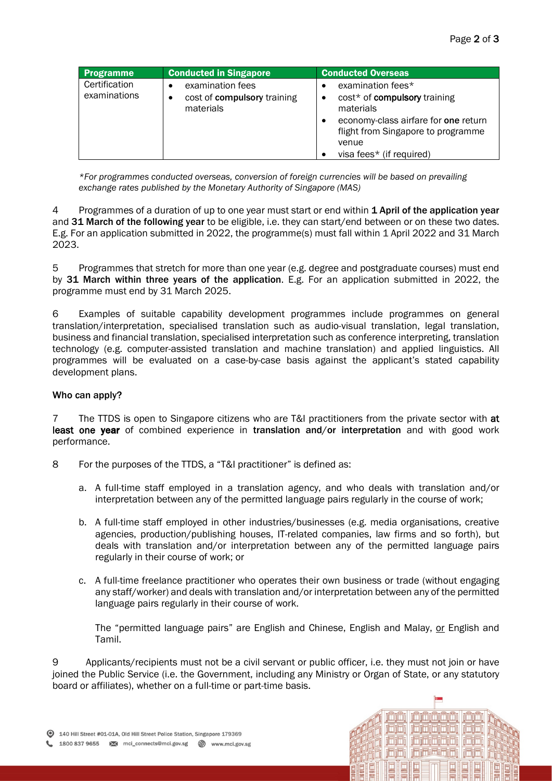| <b>Programme</b>              | <b>Conducted in Singapore</b>                                     | <b>Conducted Overseas</b>                                                                                                                                                         |
|-------------------------------|-------------------------------------------------------------------|-----------------------------------------------------------------------------------------------------------------------------------------------------------------------------------|
| Certification<br>examinations | examination fees<br>cost of compulsory training<br>٠<br>materials | examination fees*<br>cost* of compulsory training<br>materials<br>economy-class airfare for one return<br>flight from Singapore to programme<br>venue<br>visa fees* (if required) |

*\*For programmes conducted overseas, conversion of foreign currencies will be based on prevailing exchange rates published by the Monetary Authority of Singapore (MAS)*

4 Programmes of a duration of up to one year must start or end within 1 April of the application year and 31 March of the following year to be eligible, i.e. they can start/end between or on these two dates. E.g. For an application submitted in 2022, the programme(s) must fall within 1 April 2022 and 31 March 2023.

5 Programmes that stretch for more than one year (e.g. degree and postgraduate courses) must end by 31 March within three years of the application. E.g. For an application submitted in 2022, the programme must end by 31 March 2025.

6 Examples of suitable capability development programmes include programmes on general translation/interpretation, specialised translation such as audio-visual translation, legal translation, business and financial translation, specialised interpretation such as conference interpreting, translation technology (e.g. computer-assisted translation and machine translation) and applied linguistics. All programmes will be evaluated on a case-by-case basis against the applicant's stated capability development plans.

## Who can apply?

7 The TTDS is open to Singapore citizens who are T&I practitioners from the private sector with at least one year of combined experience in translation and/or interpretation and with good work performance.

- 8 For the purposes of the TTDS, a "T&I practitioner" is defined as:
	- a. A full-time staff employed in a translation agency, and who deals with translation and/or interpretation between any of the permitted language pairs regularly in the course of work;
	- b. A full-time staff employed in other industries/businesses (e.g. media organisations, creative agencies, production/publishing houses, IT-related companies, law firms and so forth), but deals with translation and/or interpretation between any of the permitted language pairs regularly in their course of work; or
	- c. A full-time freelance practitioner who operates their own business or trade (without engaging any staff/worker) and deals with translation and/or interpretation between any of the permitted language pairs regularly in their course of work.

The "permitted language pairs" are English and Chinese, English and Malay, or English and Tamil.

ididi idididid

ididi idididididi

jajaj jainistajaj

9 Applicants/recipients must not be a civil servant or public officer, i.e. they must not join or have joined the Public Service (i.e. the Government, including any Ministry or Organ of State, or any statutory board or affiliates), whether on a full-time or part-time basis.